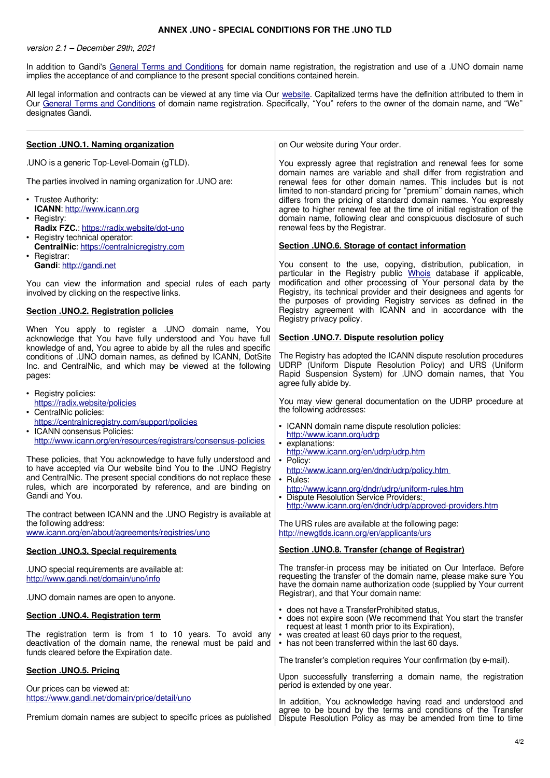## **ANNEX .UNO - SPECIAL CONDITIONS FOR THE .UNO TLD**

version 2.1 – December 29th, 2021

In addition to Gandi's [General Terms and Conditions](http://www.gandi.net/contracts) for domain name registration, the registration and use of a .UNO domain name implies the acceptance of and compliance to the present special conditions contained herein.

All legal information and contracts can be viewed at any time via Our [website.](http://www.gandi.net/) Capitalized terms have the definition attributed to them in Our [General Terms and Conditions](http://www.gandi.net/contracts) of domain name registration. Specifically, "You" refers to the owner of the domain name, and "We" designates Gandi.

| Section .UNO.1. Naming organization                                                                                                                                                                                                                                                                                                                                     | on Our website during Your order.                                                                                                                                                                                                                                                                                                                                                                                                                                                                                            |
|-------------------------------------------------------------------------------------------------------------------------------------------------------------------------------------------------------------------------------------------------------------------------------------------------------------------------------------------------------------------------|------------------------------------------------------------------------------------------------------------------------------------------------------------------------------------------------------------------------------------------------------------------------------------------------------------------------------------------------------------------------------------------------------------------------------------------------------------------------------------------------------------------------------|
| .UNO is a generic Top-Level-Domain (gTLD).<br>The parties involved in naming organization for . UNO are:<br>• Trustee Authority:<br><b>ICANN: http://www.icann.org</b><br>• Registry:<br>Radix FZC.: https://radix.website/dot-uno<br>• Registry technical operator:                                                                                                    | You expressly agree that registration and renewal fees for some<br>domain names are variable and shall differ from registration and<br>renewal fees for other domain names. This includes but is not<br>limited to non-standard pricing for "premium" domain names, which<br>differs from the pricing of standard domain names. You expressly<br>agree to higher renewal fee at the time of initial registration of the<br>domain name, following clear and conspicuous disclosure of such<br>renewal fees by the Registrar. |
| CentralNic: https://centralnicregistry.com<br>• Registrar:                                                                                                                                                                                                                                                                                                              | Section .UNO.6. Storage of contact information                                                                                                                                                                                                                                                                                                                                                                                                                                                                               |
| Gandi: http://gandi.net                                                                                                                                                                                                                                                                                                                                                 | You consent to the use, copying, distribution, publication, in<br>particular in the Registry public Whois database if applicable,                                                                                                                                                                                                                                                                                                                                                                                            |
| You can view the information and special rules of each party<br>involved by clicking on the respective links.                                                                                                                                                                                                                                                           | modification and other processing of Your personal data by the<br>Registry, its technical provider and their designees and agents for<br>the purposes of providing Registry services as defined in the                                                                                                                                                                                                                                                                                                                       |
| Section .UNO.2. Registration policies                                                                                                                                                                                                                                                                                                                                   | Registry agreement with ICANN and in accordance with the<br>Registry privacy policy.                                                                                                                                                                                                                                                                                                                                                                                                                                         |
| When You apply to register a .UNO domain name, You<br>acknowledge that You have fully understood and You have full                                                                                                                                                                                                                                                      | Section .UNO.7. Dispute resolution policy                                                                                                                                                                                                                                                                                                                                                                                                                                                                                    |
| conditions of .UNO domain names, as defined by ICANN, DotSite<br>Inc. and CentralNic, and which may be viewed at the following<br>pages:                                                                                                                                                                                                                                | The Registry has adopted the ICANN dispute resolution procedures<br>UDRP (Uniform Dispute Resolution Policy) and URS (Uniform<br>Rapid Suspension System) for UNO domain names, that You<br>agree fully abide by.                                                                                                                                                                                                                                                                                                            |
| https://radix.website/policies<br>• CentralNic policies:                                                                                                                                                                                                                                                                                                                | You may view general documentation on the UDRP procedure at<br>the following addresses:                                                                                                                                                                                                                                                                                                                                                                                                                                      |
| https://centralnicregistry.com/support/policies<br>• ICANN consensus Policies:<br>http://www.icann.org/en/resources/registrars/consensus-policies                                                                                                                                                                                                                       | • ICANN domain name dispute resolution policies:<br>http://www.icann.org/udrp<br>· explanations:                                                                                                                                                                                                                                                                                                                                                                                                                             |
| These policies, that You acknowledge to have fully understood and<br>to have accepted via Our website bind You to the .UNO Registry<br>and CentralNic. The present special conditions do not replace these<br>rules, which are incorporated by reference, and are binding on<br>Gandi and You.                                                                          | • Policy:<br>http://www.icann.org/en/dndr/udrp/policy.htm<br>• Rules:<br>http://www.icann.org/dndr/udrp/uniform-rules.htm<br>· Dispute Resolution Service Providers:<br>http://www.icann.org/en/dndr/udrp/approved-providers.htm                                                                                                                                                                                                                                                                                             |
| the following address:<br>www.icann.org/en/about/agreements/registries/uno                                                                                                                                                                                                                                                                                              | The URS rules are available at the following page:<br>http://newgtlds.icann.org/en/applicants/urs                                                                                                                                                                                                                                                                                                                                                                                                                            |
| <b>Section .UNO.3. Special requirements</b>                                                                                                                                                                                                                                                                                                                             | Section .UNO.8. Transfer (change of Registrar)                                                                                                                                                                                                                                                                                                                                                                                                                                                                               |
| .UNO special requirements are available at:<br>http://www.gandi.net/domain/uno/info                                                                                                                                                                                                                                                                                     | The transfer-in process may be initiated on Our Interface. Before<br>requesting the transfer of the domain name, please make sure You<br>have the domain name authorization code (supplied by Your current                                                                                                                                                                                                                                                                                                                   |
| .UNO domain names are open to anyone.                                                                                                                                                                                                                                                                                                                                   |                                                                                                                                                                                                                                                                                                                                                                                                                                                                                                                              |
| Section .UNO.4. Registration term                                                                                                                                                                                                                                                                                                                                       | • does not expire soon (We recommend that You start the transfer<br>request at least 1 month prior to its Expiration),                                                                                                                                                                                                                                                                                                                                                                                                       |
| deactivation of the domain name, the renewal must be paid and                                                                                                                                                                                                                                                                                                           | • has not been transferred within the last 60 days.                                                                                                                                                                                                                                                                                                                                                                                                                                                                          |
|                                                                                                                                                                                                                                                                                                                                                                         |                                                                                                                                                                                                                                                                                                                                                                                                                                                                                                                              |
| Our prices can be viewed at:                                                                                                                                                                                                                                                                                                                                            | Upon successfully transferring a domain name, the registration<br>period is extended by one year.                                                                                                                                                                                                                                                                                                                                                                                                                            |
| https://www.gandi.net/domain/price/detail/uno                                                                                                                                                                                                                                                                                                                           | In addition, You acknowledge having read and understood and<br>agree to be bound by the terms and conditions of the Transfer                                                                                                                                                                                                                                                                                                                                                                                                 |
| knowledge of and, You agree to abide by all the rules and specific<br>• Registry policies:<br>The contract between ICANN and the .UNO Registry is available at<br>The registration term is from 1 to 10 years. To avoid any<br>funds cleared before the Expiration date.<br>Section .UNO.5. Pricing<br>Premium domain names are subject to specific prices as published | http://www.icann.org/en/udrp/udrp.htm<br>Registrar), and that Your domain name:<br>• does not have a TransferProhibited status,<br>• was created at least 60 days prior to the request,<br>The transfer's completion requires Your confirmation (by e-mail).<br>Dispute Resolution Policy as may be amended from time to time                                                                                                                                                                                                |